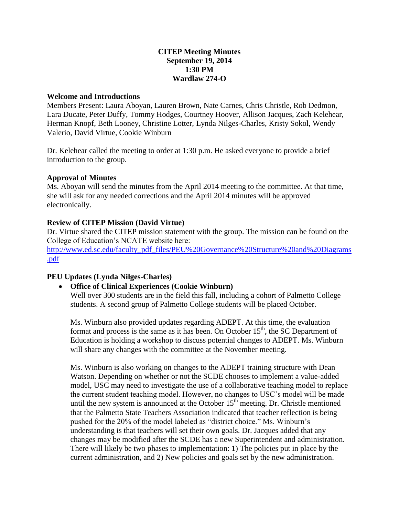### **CITEP Meeting Minutes September 19, 2014 1:30 PM Wardlaw 274-O**

#### **Welcome and Introductions**

Members Present: Laura Aboyan, Lauren Brown, Nate Carnes, Chris Christle, Rob Dedmon, Lara Ducate, Peter Duffy, Tommy Hodges, Courtney Hoover, Allison Jacques, Zach Kelehear, Herman Knopf, Beth Looney, Christine Lotter, Lynda Nilges-Charles, Kristy Sokol, Wendy Valerio, David Virtue, Cookie Winburn

Dr. Kelehear called the meeting to order at 1:30 p.m. He asked everyone to provide a brief introduction to the group.

#### **Approval of Minutes**

Ms. Aboyan will send the minutes from the April 2014 meeting to the committee. At that time, she will ask for any needed corrections and the April 2014 minutes will be approved electronically.

## **Review of CITEP Mission (David Virtue)**

Dr. Virtue shared the CITEP mission statement with the group. The mission can be found on the College of Education's NCATE website here:

[http://www.ed.sc.edu/faculty\\_pdf\\_files/PEU%20Governance%20Structure%20and%20Diagrams](http://www.ed.sc.edu/faculty_pdf_files/PEU%20Governance%20Structure%20and%20Diagrams.pdf) [.pdf](http://www.ed.sc.edu/faculty_pdf_files/PEU%20Governance%20Structure%20and%20Diagrams.pdf)

## **PEU Updates (Lynda Nilges-Charles)**

**Office of Clinical Experiences (Cookie Winburn)**

Well over 300 students are in the field this fall, including a cohort of Palmetto College students. A second group of Palmetto College students will be placed October.

Ms. Winburn also provided updates regarding ADEPT. At this time, the evaluation format and process is the same as it has been. On October  $15<sup>th</sup>$ , the SC Department of Education is holding a workshop to discuss potential changes to ADEPT. Ms. Winburn will share any changes with the committee at the November meeting.

Ms. Winburn is also working on changes to the ADEPT training structure with Dean Watson. Depending on whether or not the SCDE chooses to implement a value-added model, USC may need to investigate the use of a collaborative teaching model to replace the current student teaching model. However, no changes to USC's model will be made until the new system is announced at the October  $15<sup>th</sup>$  meeting. Dr. Christle mentioned that the Palmetto State Teachers Association indicated that teacher reflection is being pushed for the 20% of the model labeled as "district choice." Ms. Winburn's understanding is that teachers will set their own goals. Dr. Jacques added that any changes may be modified after the SCDE has a new Superintendent and administration. There will likely be two phases to implementation: 1) The policies put in place by the current administration, and 2) New policies and goals set by the new administration.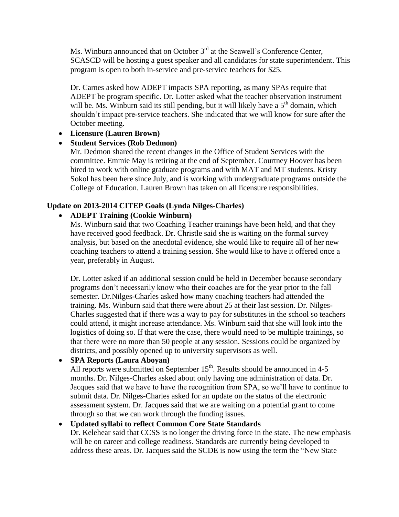Ms. Winburn announced that on October 3<sup>rd</sup> at the Seawell's Conference Center, SCASCD will be hosting a guest speaker and all candidates for state superintendent. This program is open to both in-service and pre-service teachers for \$25.

Dr. Carnes asked how ADEPT impacts SPA reporting, as many SPAs require that ADEPT be program specific. Dr. Lotter asked what the teacher observation instrument will be. Ms. Winburn said its still pending, but it will likely have a  $5<sup>th</sup>$  domain, which shouldn't impact pre-service teachers. She indicated that we will know for sure after the October meeting.

# **Licensure (Lauren Brown)**

# **Student Services (Rob Dedmon)**

Mr. Dedmon shared the recent changes in the Office of Student Services with the committee. Emmie May is retiring at the end of September. Courtney Hoover has been hired to work with online graduate programs and with MAT and MT students. Kristy Sokol has been here since July, and is working with undergraduate programs outside the College of Education. Lauren Brown has taken on all licensure responsibilities.

# **Update on 2013-2014 CITEP Goals (Lynda Nilges-Charles)**

# **ADEPT Training (Cookie Winburn)**

Ms. Winburn said that two Coaching Teacher trainings have been held, and that they have received good feedback. Dr. Christle said she is waiting on the formal survey analysis, but based on the anecdotal evidence, she would like to require all of her new coaching teachers to attend a training session. She would like to have it offered once a year, preferably in August.

Dr. Lotter asked if an additional session could be held in December because secondary programs don't necessarily know who their coaches are for the year prior to the fall semester. Dr.Nilges-Charles asked how many coaching teachers had attended the training. Ms. Winburn said that there were about 25 at their last session. Dr. Nilges-Charles suggested that if there was a way to pay for substitutes in the school so teachers could attend, it might increase attendance. Ms. Winburn said that she will look into the logistics of doing so. If that were the case, there would need to be multiple trainings, so that there were no more than 50 people at any session. Sessions could be organized by districts, and possibly opened up to university supervisors as well.

# **SPA Reports (Laura Aboyan)**

All reports were submitted on September  $15<sup>th</sup>$ . Results should be announced in 4-5 months. Dr. Nilges-Charles asked about only having one administration of data. Dr. Jacques said that we have to have the recognition from SPA, so we'll have to continue to submit data. Dr. Nilges-Charles asked for an update on the status of the electronic assessment system. Dr. Jacques said that we are waiting on a potential grant to come through so that we can work through the funding issues.

# **Updated syllabi to reflect Common Core State Standards**

Dr. Kelehear said that CCSS is no longer the driving force in the state. The new emphasis will be on career and college readiness. Standards are currently being developed to address these areas. Dr. Jacques said the SCDE is now using the term the "New State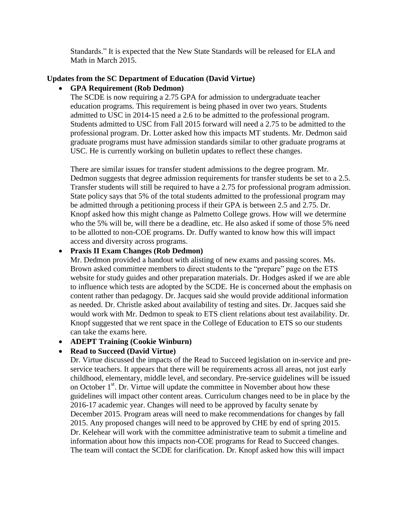Standards." It is expected that the New State Standards will be released for ELA and Math in March 2015.

### **Updates from the SC Department of Education (David Virtue)**

### **GPA Requirement (Rob Dedmon)**

The SCDE is now requiring a 2.75 GPA for admission to undergraduate teacher education programs. This requirement is being phased in over two years. Students admitted to USC in 2014-15 need a 2.6 to be admitted to the professional program. Students admitted to USC from Fall 2015 forward will need a 2.75 to be admitted to the professional program. Dr. Lotter asked how this impacts MT students. Mr. Dedmon said graduate programs must have admission standards similar to other graduate programs at USC. He is currently working on bulletin updates to reflect these changes.

There are similar issues for transfer student admissions to the degree program. Mr. Dedmon suggests that degree admission requirements for transfer students be set to a 2.5. Transfer students will still be required to have a 2.75 for professional program admission. State policy says that 5% of the total students admitted to the professional program may be admitted through a petitioning process if their GPA is between 2.5 and 2.75. Dr. Knopf asked how this might change as Palmetto College grows. How will we determine who the 5% will be, will there be a deadline, etc. He also asked if some of those 5% need to be allotted to non-COE programs. Dr. Duffy wanted to know how this will impact access and diversity across programs.

### **Praxis II Exam Changes (Rob Dedmon)**

Mr. Dedmon provided a handout with alisting of new exams and passing scores. Ms. Brown asked committee members to direct students to the "prepare" page on the ETS website for study guides and other preparation materials. Dr. Hodges asked if we are able to influence which tests are adopted by the SCDE. He is concerned about the emphasis on content rather than pedagogy. Dr. Jacques said she would provide additional information as needed. Dr. Christle asked about availability of testing and sites. Dr. Jacques said she would work with Mr. Dedmon to speak to ETS client relations about test availability. Dr. Knopf suggested that we rent space in the College of Education to ETS so our students can take the exams here.

#### **ADEPT Training (Cookie Winburn)**

#### **Read to Succeed (David Virtue)**

Dr. Virtue discussed the impacts of the Read to Succeed legislation on in-service and preservice teachers. It appears that there will be requirements across all areas, not just early childhood, elementary, middle level, and secondary. Pre-service guidelines will be issued on October 1<sup>st</sup>. Dr. Virtue will update the committee in November about how these guidelines will impact other content areas. Curriculum changes need to be in place by the 2016-17 academic year. Changes will need to be approved by faculty senate by December 2015. Program areas will need to make recommendations for changes by fall 2015. Any proposed changes will need to be approved by CHE by end of spring 2015. Dr. Kelehear will work with the committee administrative team to submit a timeline and information about how this impacts non-COE programs for Read to Succeed changes. The team will contact the SCDE for clarification. Dr. Knopf asked how this will impact